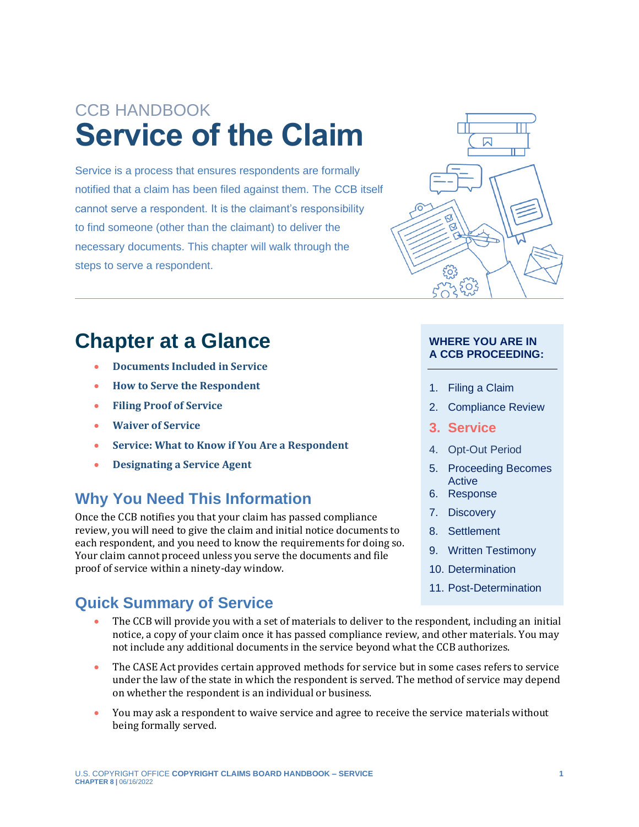# CCB HANDBOOK **Service of the Claim**

Service is a process that ensures respondents are formally notified that a claim has been filed against them. The CCB itself cannot serve a respondent. It is the claimant's responsibility to find someone (other than the claimant) to deliver the necessary documents. This chapter will walk through the steps to serve a respondent.

## **Chapter at a Glance**

- **[Documents Included in Service](#page-2-0)**
- **[How to Serve the Respondent](#page-2-1)**
- **[Filing Proof of Service](#page-5-0)**
- **[Waiver of Service](#page-6-0)**
- **[Service: What to Know if You Are a Respondent](#page-7-0)**
- **[Designating a Service Agent](#page-9-0)**

### **Why You Need This Information**

Once the CCB notifies you that your claim has passed compliance review, you will need to give the claim and initial notice documents to each respondent, and you need to know the requirements for doing so. Your claim cannot proceed unless you serve the documents and file proof of service within a ninety-day window.

### **Quick Summary of Service**

 $\boxtimes$ ९०३

#### **WHERE YOU ARE IN A CCB PROCEEDING:**

- 1. Filing a Claim
- 2. Compliance Review
- **3. Service**
- 4. Opt-Out Period
- 5. Proceeding Becomes Active
- 6. Response
- 7. Discovery
- 8. Settlement
- 9. Written Testimony
- 10. Determination
- 11. Post-Determination
- The CCB will provide you with a set of materials to deliver to the respondent, including an initial notice, a copy of your claim once it has passed compliance review, and other materials. You may not include any additional documents in the service beyond what the CCB authorizes.
- The CASE Act provides certain approved methods for service but in some cases refers to service under the law of the state in which the respondent is served. The method of service may depend on whether the respondent is an individual or business.
- You may ask a respondent to waive service and agree to receive the service materials without being formally served.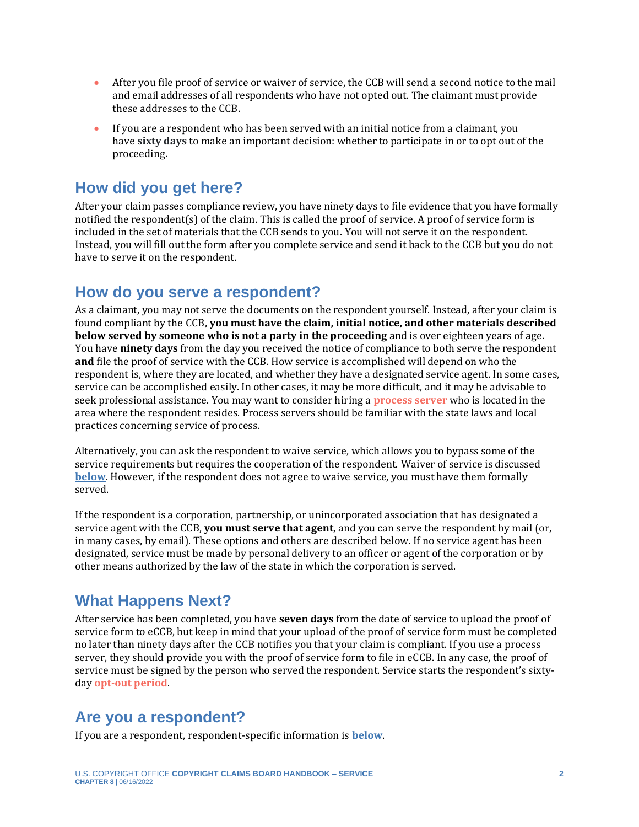- After you file proof of service or waiver of service, the CCB will send a second notice to the mail and email addresses of all respondents who have not opted out. The claimant must provide these addresses to the CCB.
- If you are a respondent who has been served with an initial notice from a claimant, you have **sixty days** to make an important decision: whether to participate in or to opt out of the proceeding.

### **How did you get here?**

After your claim passes compliance review, you have ninety days to file evidence that you have formally notified the respondent(s) of the claim. This is called the proof of service. A proof of service form is included in the set of materials that the CCB sends to you. You will not serve it on the respondent. Instead, you will fill out the form after you complete service and send it back to the CCB but you do not have to serve it on the respondent.

#### <span id="page-1-0"></span>**How do you serve a respondent?**

As a claimant, you may not serve the documents on the respondent yourself. Instead, after your claim is found compliant by the CCB, **you must have the claim, initial notice, and other materials described below served by someone who is not a party in the proceeding** and is over eighteen years of age. You have **ninety days** from the day you received the notice of compliance to both serve the respondent **and** file the proof of service with the CCB. How service is accomplished will depend on who the respondent is, where they are located, and whether they have a designated service agent. In some cases, service can be accomplished easily. In other cases, it may be more difficult, and it may be advisable to seek professional assistance. You may want to consider hiring a **[process server](#page-11-0)** who is located in the area where the respondent resides. Process servers should be familiar with the state laws and local practices concerning service of process.

<span id="page-1-2"></span>Alternatively, you can ask the respondent to waive service, which allows you to bypass some of the service requirements but requires the cooperation of the respondent. Waiver of service is discussed **[below](#page-8-0)**. However, if the respondent does not agree to waive service, you must have them formally served.

If the respondent is a corporation, partnership, or unincorporated association that has designated a service agent with the CCB, **you must serve that agent**, and you can serve the respondent by mail (or, in many cases, by email). These options and others are described below. If no service agent has been designated, service must be made by personal delivery to an officer or agent of the corporation or by other means authorized by the law of the state in which the corporation is served.

### **What Happens Next?**

After service has been completed, you have **seven days** from the date of service to upload the proof of service form to eCCB, but keep in mind that your upload of the proof of service form must be completed no later than ninety days after the CCB notifies you that your claim is compliant. If you use a process server, they should provide you with the proof of service form to file in eCCB. In any case, the proof of service must be signed by the person who served the respondent. Service starts the respondent's sixtyday **[opt-out period](#page-11-0)**.

### <span id="page-1-1"></span>**Are you a respondent?**

If you are a respondent, respondent-specific information is **[below](#page-7-0)**.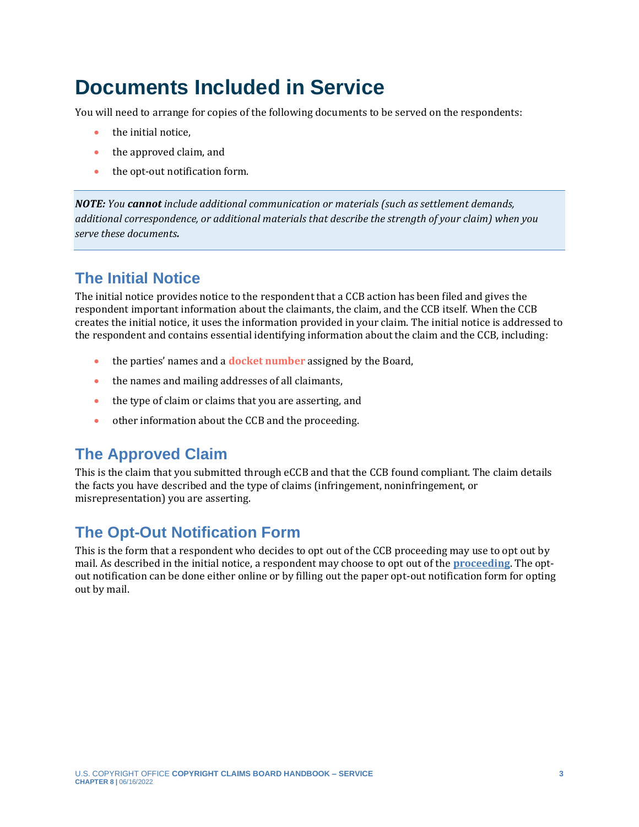## <span id="page-2-0"></span>**Documents Included in Service**

You will need to arrange for copies of the following documents to be served on the respondents:

- the initial notice.
- the approved claim, and
- the opt-out notification form.

*NOTE: You cannot include additional communication or materials (such as settlement demands, additional correspondence, or additional materials that describe the strength of your claim) when you serve these documents.* 

### **The Initial Notice**

The initial notice provides notice to the respondent that a CCB action has been filed and gives the respondent important information about the claimants, the claim, and the CCB itself. When the CCB creates the initial notice, it uses the information provided in your claim. The initial notice is addressed to the respondent and contains essential identifying information about the claim and the CCB, including:

- <span id="page-2-2"></span>• the parties' names and a **[docket number](#page-11-0)** assigned by the Board,
- the names and mailing addresses of all claimants,
- the type of claim or claims that you are asserting, and
- other information about the CCB and the proceeding.

### **The Approved Claim**

This is the claim that you submitted through eCCB and that the CCB found compliant. The claim details the facts you have described and the type of claims (infringement, noninfringement, or misrepresentation) you are asserting.

### **The Opt-Out Notification Form**

<span id="page-2-1"></span>This is the form that a respondent who decides to opt out of the CCB proceeding may use to opt out by mail. As described in the initial notice, a respondent may choose to opt out of the **[proceeding](https://ccb.gov/handbook/Opting-Out.pdf)**. The optout notification can be done either online or by filling out the paper opt-out notification form for opting out by mail.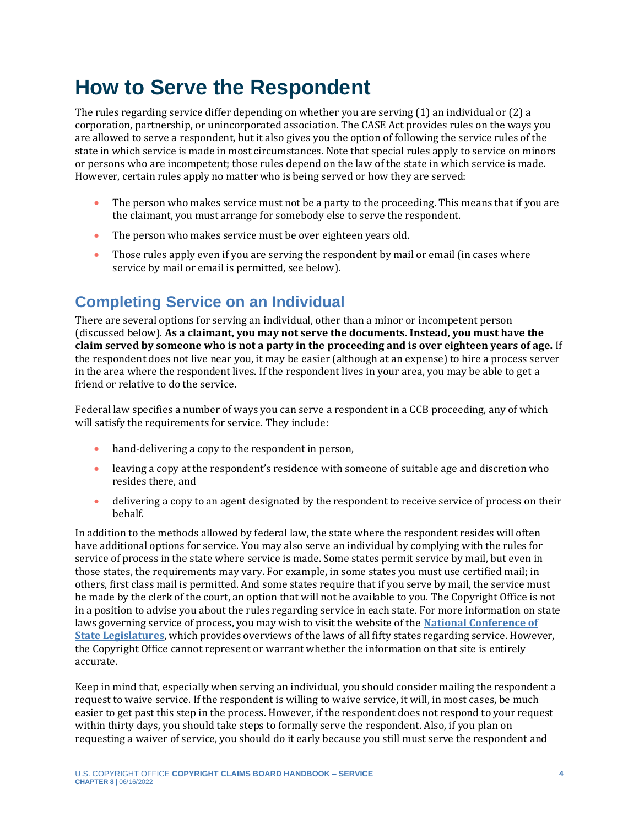## <span id="page-3-0"></span>**How to Serve the Respondent**

The rules regarding service differ depending on whether you are serving (1) an individual or (2) a corporation, partnership, or unincorporated association. The CASE Act provides rules on the ways you are allowed to serve a respondent, but it also gives you the option of following the service rules of the state in which service is made in most circumstances. Note that special rules apply to service on minors or persons who are incompetent; those rules depend on the law of the state in which service is made. However, certain rules apply no matter who is being served or how they are served:

- The person who makes service must not be a party to the proceeding. This means that if you are the claimant, you must arrange for somebody else to serve the respondent.
- The person who makes service must be over eighteen years old.
- Those rules apply even if you are serving the respondent by mail or email (in cases where service by mail or email is permitted, see below).

### **Completing Service on an Individual**

There are several options for serving an individual, other than a minor or incompetent person (discussed below). **As a claimant, you may not serve the documents. Instead, you must have the claim served by someone who is not a party in the proceeding and is over eighteen years of age.** If the respondent does not live near you, it may be easier (although at an expense) to hire a process server in the area where the respondent lives. If the respondent lives in your area, you may be able to get a friend or relative to do the service.

Federal law specifies a number of ways you can serve a respondent in a CCB proceeding, any of which will satisfy the requirements for service. They include:

- hand-delivering a copy to the respondent in person,
- leaving a copy at the respondent's residence with someone of suitable age and discretion who resides there, and
- delivering a copy to an agent designated by the respondent to receive service of process on their behalf.

In addition to the methods allowed by federal law, the state where the respondent resides will often have additional options for service. You may also serve an individual by complying with the rules for service of process in the state where service is made. Some states permit service by mail, but even in those states, the requirements may vary. For example, in some states you must use certified mail; in others, first class mail is permitted. And some states require that if you serve by mail, the service must be made by the clerk of the court, an option that will not be available to you. The Copyright Office is not in a position to advise you about the rules regarding service in each state. For more information on state laws governing service of process, you may wish to visit the website of the **[National Conference of](https://www.ncsl.org/research/civil-and-criminal-justice/civil-justice-service-of-process637480363.aspx#:~:text=Civil%20actions%20shall%20be%20commenced,of%20the%20Chief%20Court%20Administrator.)  [State Legislatures](https://www.ncsl.org/research/civil-and-criminal-justice/civil-justice-service-of-process637480363.aspx#:~:text=Civil%20actions%20shall%20be%20commenced,of%20the%20Chief%20Court%20Administrator.)**, which provides overviews of the laws of all fifty states regarding service. However, the Copyright Office cannot represent or warrant whether the information on that site is entirely accurate.

Keep in mind that, especially when serving an individual, you should consider mailing the respondent a request to waive service. If the respondent is willing to waive service, it will, in most cases, be much easier to get past this step in the process. However, if the respondent does not respond to your request within thirty days, you should take steps to formally serve the respondent. Also, if you plan on requesting a waiver of service, you should do it early because you still must serve the respondent and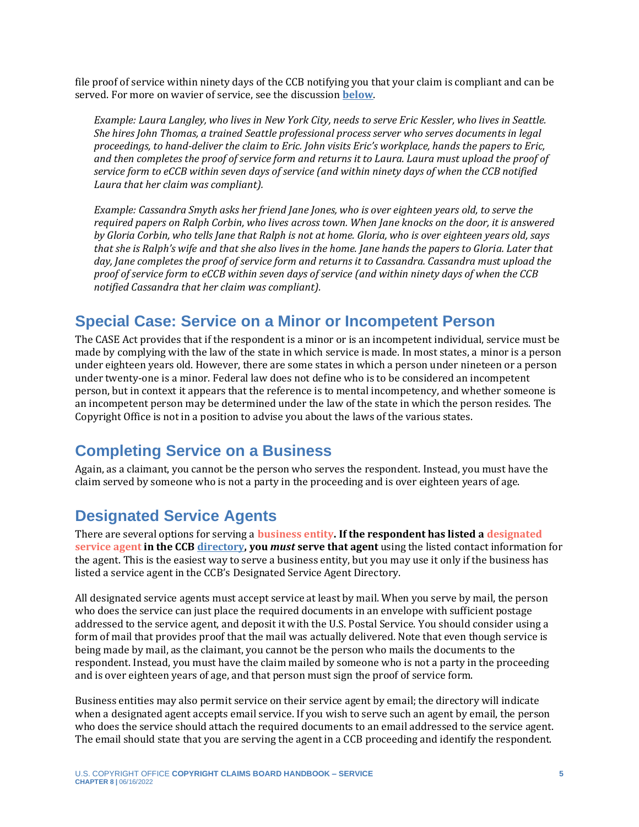file proof of service within ninety days of the CCB notifying you that your claim is compliant and can be served. For more on wavier of service, see the discussion **[below](#page-6-0)**.

*Example: Laura Langley, who lives in New York City, needs to serve Eric Kessler, who lives in Seattle. She hires John Thomas, a trained Seattle professional process server who serves documents in legal proceedings, to hand-deliver the claim to Eric. John visits Eric's workplace, hands the papers to Eric, and then completes the proof of service form and returns it to Laura. Laura must upload the proof of service form to eCCB within seven days of service (and within ninety days of when the CCB notified Laura that her claim was compliant).*

*Example: Cassandra Smyth asks her friend Jane Jones, who is over eighteen years old, to serve the required papers on Ralph Corbin, who lives across town. When Jane knocks on the door, it is answered by Gloria Corbin, who tells Jane that Ralph is not at home. Gloria, who is over eighteen years old, says that she is Ralph's wife and that she also lives in the home. Jane hands the papers to Gloria. Later that day, Jane completes the proof of service form and returns it to Cassandra. Cassandra must upload the proof of service form to eCCB within seven days of service (and within ninety days of when the CCB notified Cassandra that her claim was compliant).*

### **Special Case: Service on a Minor or Incompetent Person**

The CASE Act provides that if the respondent is a minor or is an incompetent individual, service must be made by complying with the law of the state in which service is made. In most states, a minor is a person under eighteen years old. However, there are some states in which a person under nineteen or a person under twenty-one is a minor. Federal law does not define who is to be considered an incompetent person, but in context it appears that the reference is to mental incompetency, and whether someone is an incompetent person may be determined under the law of the state in which the person resides. The Copyright Office is not in a position to advise you about the laws of the various states.

### **Completing Service on a Business**

Again, as a claimant, you cannot be the person who serves the respondent. Instead, you must have the claim served by someone who is not a party in the proceeding and is over eighteen years of age.

### **Designated Service Agents**

<span id="page-4-1"></span><span id="page-4-0"></span>There are several options for serving a **[business entity.](#page-11-0) If the respondent has listed [a designated](#page-11-0)  [service agent](#page-11-0) in the CCB [directory,](https://ccb.gov/designated-service-agent-directory/) you** *must* **serve that agent** using the listed contact information for the agent. This is the easiest way to serve a business entity, but you may use it only if the business has listed a service agent in the CCB's Designated Service Agent Directory.

All designated service agents must accept service at least by mail. When you serve by mail, the person who does the service can just place the required documents in an envelope with sufficient postage addressed to the service agent, and deposit it with the U.S. Postal Service. You should consider using a form of mail that provides proof that the mail was actually delivered. Note that even though service is being made by mail, as the claimant, you cannot be the person who mails the documents to the respondent. Instead, you must have the claim mailed by someone who is not a party in the proceeding and is over eighteen years of age, and that person must sign the proof of service form.

Business entities may also permit service on their service agent by email; the directory will indicate when a designated agent accepts email service. If you wish to serve such an agent by email, the person who does the service should attach the required documents to an email addressed to the service agent. The email should state that you are serving the agent in a CCB proceeding and identify the respondent.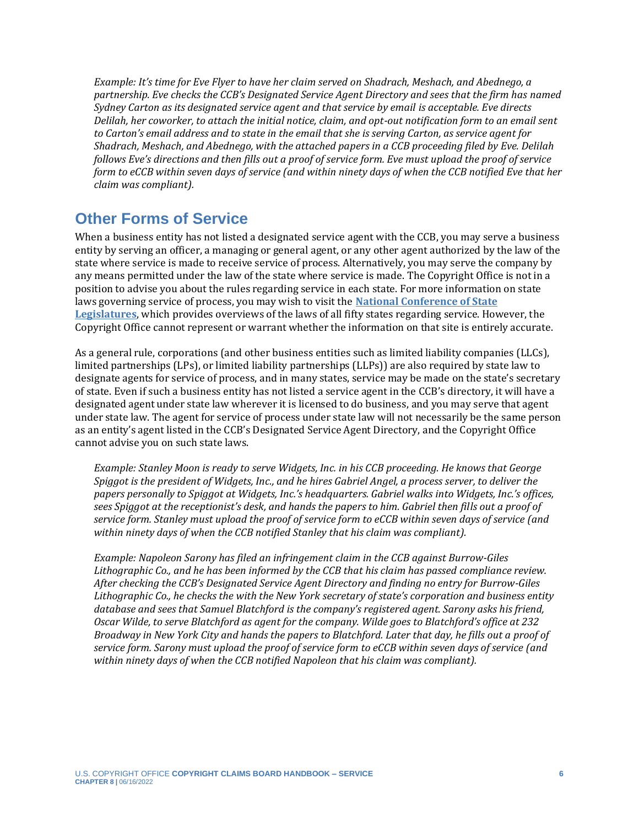*Example: It's time for Eve Flyer to have her claim served on Shadrach, Meshach, and Abednego, a partnership. Eve checks the CCB's Designated Service Agent Directory and sees that the firm has named Sydney Carton as its designated service agent and that service by email is acceptable. Eve directs Delilah, her coworker, to attach the initial notice, claim, and opt-out notification form to an email sent to Carton's email address and to state in the email that she is serving Carton, as service agent for Shadrach, Meshach, and Abednego, with the attached papers in a CCB proceeding filed by Eve. Delilah follows Eve's directions and then fills out a proof of service form. Eve must upload the proof of service form to eCCB within seven days of service (and within ninety days of when the CCB notified Eve that her claim was compliant).*

### **Other Forms of Service**

When a business entity has not listed a designated service agent with the CCB, you may serve a business entity by serving an officer, a managing or general agent, or any other agent authorized by the law of the state where service is made to receive service of process. Alternatively, you may serve the company by any means permitted under the law of the state where service is made. The Copyright Office is not in a position to advise you about the rules regarding service in each state. For more information on state laws governing service of process, you may wish to visit the **[National Conference of State](https://www.ncsl.org/research/civil-and-criminal-justice/civil-justice-service-of-process637480363.aspx#:~:text=Civil%20actions%20shall%20be%20commenced,of%20the%20Chief%20Court%20Administrator.)  [Legislatures](https://www.ncsl.org/research/civil-and-criminal-justice/civil-justice-service-of-process637480363.aspx#:~:text=Civil%20actions%20shall%20be%20commenced,of%20the%20Chief%20Court%20Administrator.)**, which provides overviews of the laws of all fifty states regarding service. However, the Copyright Office cannot represent or warrant whether the information on that site is entirely accurate.

As a general rule, corporations (and other business entities such as limited liability companies (LLCs), limited partnerships (LPs), or limited liability partnerships (LLPs)) are also required by state law to designate agents for service of process, and in many states, service may be made on the state's secretary of state. Even if such a business entity has not listed a service agent in the CCB's directory, it will have a designated agent under state law wherever it is licensed to do business, and you may serve that agent under state law. The agent for service of process under state law will not necessarily be the same person as an entity's agent listed in the CCB's Designated Service Agent Directory, and the Copyright Office cannot advise you on such state laws.

*Example: Stanley Moon is ready to serve Widgets, Inc. in his CCB proceeding. He knows that George Spiggot is the president of Widgets, Inc., and he hires Gabriel Angel, a process server, to deliver the papers personally to Spiggot at Widgets, Inc.'s headquarters. Gabriel walks into Widgets, Inc.'s offices, sees Spiggot at the receptionist's desk, and hands the papers to him. Gabriel then fills out a proof of service form. Stanley must upload the proof of service form to eCCB within seven days of service (and within ninety days of when the CCB notified Stanley that his claim was compliant).*

<span id="page-5-0"></span>*Example: Napoleon Sarony has filed an infringement claim in the CCB against Burrow-Giles Lithographic Co., and he has been informed by the CCB that his claim has passed compliance review. After checking the CCB's Designated Service Agent Directory and finding no entry for Burrow-Giles Lithographic Co., he checks the with the New York secretary of state's corporation and business entity database and sees that Samuel Blatchford is the company's registered agent. Sarony asks his friend, Oscar Wilde, to serve Blatchford as agent for the company. Wilde goes to Blatchford's office at 232 Broadway in New York City and hands the papers to Blatchford. Later that day, he fills out a proof of service form. Sarony must upload the proof of service form to eCCB within seven days of service (and within ninety days of when the CCB notified Napoleon that his claim was compliant).*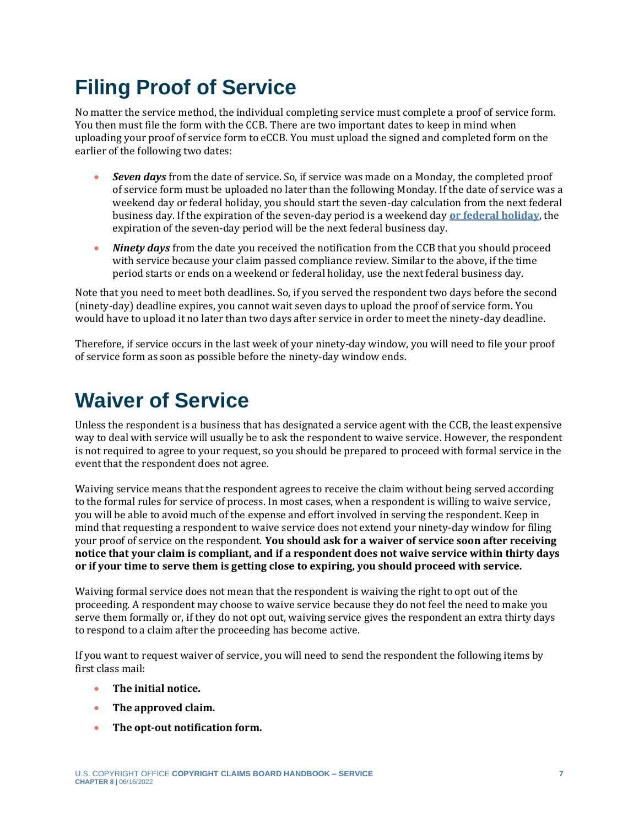## **Filing Proof of Service**

No matter the service method, the individual completing service must complete a proof of service form. You then must file the form with the CCB. There are two important dates to keep in mind when uploading your proof of service form to eCCB. You must upload the signed and completed form on the earlier of the following two dates:

- *Seven days* from the date of service. So, if service was made on a Monday, the completed proof of service form must be uploaded no later than the following Monday. If the date of service was a weekend day or federal holiday, you should start the seven-day calculation from the next federal business day. If the expiration of the seven-day period is a weekend day **[or federal holiday](https://www.opm.gov/policy-data-oversight/pay-leave/federal-holidays/)**, the expiration of the seven-day period will be the next federal business day.
- *Ninety days* from the date you received the notification from the CCB that you should proceed with service because your claim passed compliance review. Similar to the above, if the time period starts or ends on a weekend or federal holiday, use the next federal business day.

Note that you need to meet both deadlines. So, if you served the respondent two days before the second (ninety-day) deadline expires, you cannot wait seven days to upload the proof of service form. You would have to upload it no later than two days after service in order to meet the ninety-day deadline.

Therefore, if service occurs in the last week of your ninety-day window, you will need to file your proof of service form as soon as possible before the ninety-day window ends.

## <span id="page-6-0"></span>**Waiver of Service**

Unless the respondent is a business that has designated a service agent with the CCB, the least expensive way to deal with service will usually be to ask the respondent to waive service. However, the respondent is not required to agree to your request, so you should be prepared to proceed with formal service in the event that the respondent does not agree.

Waiving service means that the respondent agrees to receive the claim without being served according to the formal rules for service of process. In most cases, when a respondent is willing to waive service, you will be able to avoid much of the expense and effort involved in serving the respondent. Keep in mind that requesting a respondent to waive service does not extend your ninety-day window for filing your proof of service on the respondent. **You should ask for a waiver of service soon after receiving notice that your claim is compliant, and if a respondent does not waive service within thirty days or if your time to serve them is getting close to expiring, you should proceed with service.**

Waiving formal service does not mean that the respondent is waiving the right to opt out of the proceeding. A respondent may choose to waive service because they do not feel the need to make you serve them formally or, if they do not opt out, waiving service gives the respondent an extra thirty days to respond to a claim after the proceeding has become active.

If you want to request waiver of service, you will need to send the respondent the following items by first class mail:

- **The initial notice.**
- **The approved claim.**
- **The opt-out notification form.**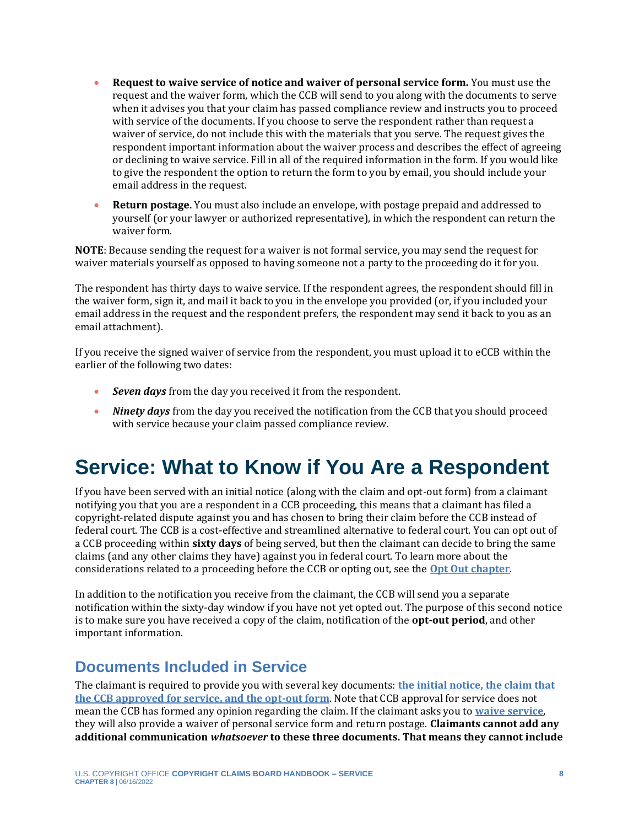- **Request to waive service of notice and waiver of personal service form.** You must use the request and the waiver form, which the CCB will send to you along with the documents to serve when it advises you that your claim has passed compliance review and instructs you to proceed with service of the documents. If you choose to serve the respondent rather than request a waiver of service, do not include this with the materials that you serve. The request gives the respondent important information about the waiver process and describes the effect of agreeing or declining to waive service. Fill in all of the required information in the form. If you would like to give the respondent the option to return the form to you by email, you should include your email address in the request.
- **Return postage.** You must also include an envelope, with postage prepaid and addressed to yourself (or your lawyer or authorized representative), in which the respondent can return the waiver form.

**NOTE**: Because sending the request for a waiver is not formal service, you may send the request for waiver materials yourself as opposed to having someone not a party to the proceeding do it for you.

The respondent has thirty days to waive service. If the respondent agrees, the respondent should fill in the waiver form, sign it, and mail it back to you in the envelope you provided (or, if you included your email address in the request and the respondent prefers, the respondent may send it back to you as an email attachment).

If you receive the signed waiver of service from the respondent, you must upload it to eCCB within the earlier of the following two dates:

- *Seven days* from the day you received it from the respondent.
- *Ninety days* from the day you received the notification from the CCB that you should proceed with service because your claim passed compliance review.

## <span id="page-7-0"></span>**Service: What to Know if You Are a Respondent**

If you have been served with an initial notice (along with the claim and opt-out form) from a claimant notifying you that you are a respondent in a CCB proceeding, this means that a claimant has filed a copyright-related dispute against you and has chosen to bring their claim before the CCB instead of federal court. The CCB is a cost-effective and streamlined alternative to federal court. You can opt out of a CCB proceeding within **sixty days** of being served, but then the claimant can decide to bring the same claims (and any other claims they have) against you in federal court. To learn more about the considerations related to a proceeding before the CCB or opting out, see the **[Opt Out chapter](https://ccb.gov/handbook/Opting-Out.pdf)**.

In addition to the notification you receive from the claimant, the CCB will send you a separate notification within the sixty-day window if you have not yet opted out. The purpose of this second notice is to make sure you have received a copy of the claim, notification of the **opt-out period**, and other important information.

### **Documents Included in Service**

The claimant is required to provide you with several key documents: **[the initial notice, the claim that](#page-2-0)  [the CCB approved for service, and the opt-out form](#page-2-0)**. Note that CCB approval for service does not mean the CCB has formed any opinion regarding the claim. If the claimant asks you to **[waive service](#page-6-0)**, they will also provide a waiver of personal service form and return postage. **Claimants cannot add any additional communication** *whatsoever* **to these three documents. That means they cannot include**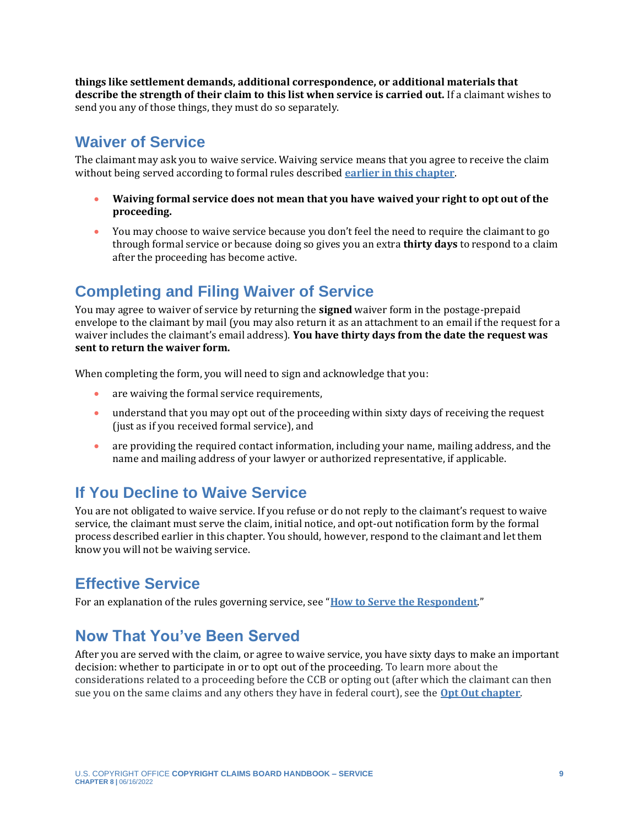**things like settlement demands, additional correspondence, or additional materials that describe the strength of their claim to this list when service is carried out.** If a claimant wishes to send you any of those things, they must do so separately.

### <span id="page-8-0"></span>**Waiver of Service**

The claimant may ask you to waive service. Waiving service means that you agree to receive the claim without being served according to formal rules described **[earlier in this chapter](#page-1-0)**.

- **Waiving formal service does not mean that you have waived your right to opt out of the proceeding.**
- You may choose to waive service because you don't feel the need to require the claimant to go through formal service or because doing so gives you an extra **thirty days** to respond to a claim after the proceeding has become active.

### **Completing and Filing Waiver of Service**

You may agree to waiver of service by returning the **signed** waiver form in the postage-prepaid envelope to the claimant by mail (you may also return it as an attachment to an email if the request for a waiver includes the claimant's email address). **You have thirty days from the date the request was sent to return the waiver form.** 

When completing the form, you will need to sign and acknowledge that you:

- are waiving the formal service requirements,
- understand that you may opt out of the proceeding within sixty days of receiving the request (just as if you received formal service), and
- are providing the required contact information, including your name, mailing address, and the name and mailing address of your lawyer or authorized representative, if applicable.

### **If You Decline to Waive Service**

You are not obligated to waive service. If you refuse or do not reply to the claimant's request to waive service, the claimant must serve the claim, initial notice, and opt-out notification form by the formal process described earlier in this chapter. You should, however, respond to the claimant and let them know you will not be waiving service.

### **Effective Service**

For an explanation of the rules governing service, see "**[How to Serve the Respondent](#page-3-0)**."

### **Now That You've Been Served**

After you are served with the claim, or agree to waive service, you have sixty days to make an important decision: whether to participate in or to opt out of the proceeding. To learn more about the considerations related to a proceeding before the CCB or opting out (after which the claimant can then sue you on the same claims and any others they have in federal court), see the **[Opt Out chapter](https://ccb.gov/handbook/Opting-Out.pdf)**.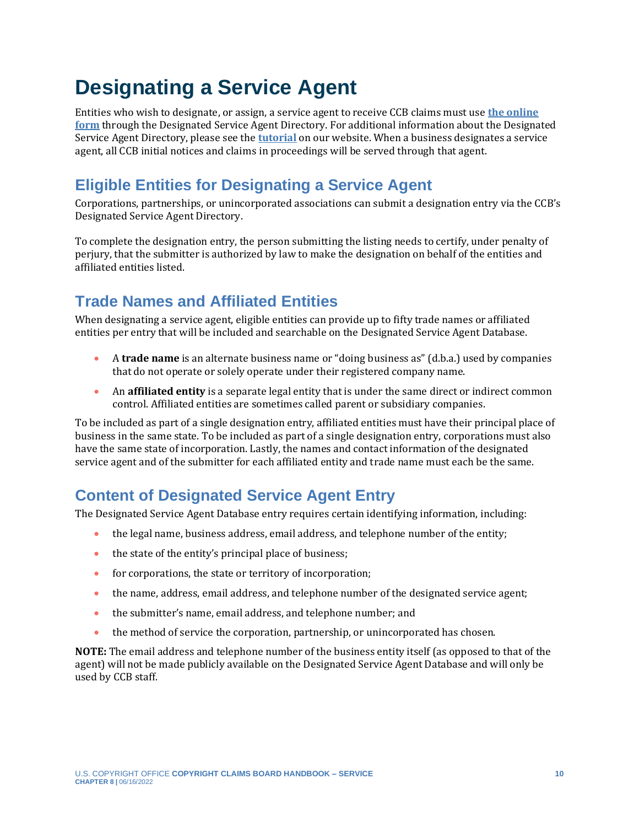## <span id="page-9-0"></span>**Designating a Service Agent**

Entities who wish to designate, or assign, a service agent to receive CCB claims must use **[the online](https://ccb.gov/designated-service-agent-directory/)  [form](https://ccb.gov/designated-service-agent-directory/)** through the Designated Service Agent Directory. For additional information about the Designated Service Agent Directory, please see the **[tutorial](https://ccb.gov/designated-service-agent-directory/images/dsad-written-testing-directions.pdf)** on our website. When a business designates a service agent, all CCB initial notices and claims in proceedings will be served through that agent.

### **Eligible Entities for Designating a Service Agent**

Corporations, partnerships, or unincorporated associations can submit a designation entry via the CCB's Designated Service Agent Directory.

To complete the designation entry, the person submitting the listing needs to certify, under penalty of perjury, that the submitter is authorized by law to make the designation on behalf of the entities and affiliated entities listed.

### **Trade Names and Affiliated Entities**

When designating a service agent, eligible entities can provide up to fifty trade names or affiliated entities per entry that will be included and searchable on the Designated Service Agent Database.

- A **trade name** is an alternate business name or "doing business as" (d.b.a.) used by companies that do not operate or solely operate under their registered company name.
- An **affiliated entity** is a separate legal entity that is under the same direct or indirect common control. Affiliated entities are sometimes called parent or subsidiary companies.

To be included as part of a single designation entry, affiliated entities must have their principal place of business in the same state. To be included as part of a single designation entry, corporations must also have the same state of incorporation. Lastly, the names and contact information of the designated service agent and of the submitter for each affiliated entity and trade name must each be the same.

### **Content of Designated Service Agent Entry**

The Designated Service Agent Database entry requires certain identifying information, including:

- the legal name, business address, email address, and telephone number of the entity;
- the state of the entity's principal place of business;
- for corporations, the state or territory of incorporation;
- the name, address, email address, and telephone number of the designated service agent;
- the submitter's name, email address, and telephone number; and
- the method of service the corporation, partnership, or unincorporated has chosen.

**NOTE:** The email address and telephone number of the business entity itself (as opposed to that of the agent) will not be made publicly available on the Designated Service Agent Database and will only be used by CCB staff.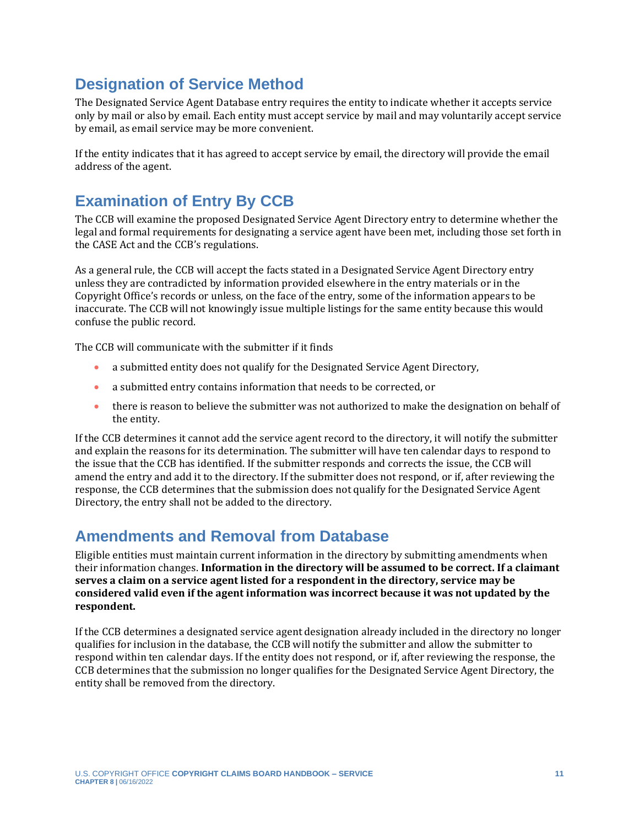### **Designation of Service Method**

The Designated Service Agent Database entry requires the entity to indicate whether it accepts service only by mail or also by email. Each entity must accept service by mail and may voluntarily accept service by email, as email service may be more convenient.

If the entity indicates that it has agreed to accept service by email, the directory will provide the email address of the agent.

### **Examination of Entry By CCB**

The CCB will examine the proposed Designated Service Agent Directory entry to determine whether the legal and formal requirements for designating a service agent have been met, including those set forth in the CASE Act and the CCB's regulations.

As a general rule, the CCB will accept the facts stated in a Designated Service Agent Directory entry unless they are contradicted by information provided elsewhere in the entry materials or in the Copyright Office's records or unless, on the face of the entry, some of the information appears to be inaccurate. The CCB will not knowingly issue multiple listings for the same entity because this would confuse the public record.

The CCB will communicate with the submitter if it finds

- a submitted entity does not qualify for the Designated Service Agent Directory,
- a submitted entry contains information that needs to be corrected, or
- there is reason to believe the submitter was not authorized to make the designation on behalf of the entity.

If the CCB determines it cannot add the service agent record to the directory, it will notify the submitter and explain the reasons for its determination. The submitter will have ten calendar days to respond to the issue that the CCB has identified. If the submitter responds and corrects the issue, the CCB will amend the entry and add it to the directory. If the submitter does not respond, or if, after reviewing the response, the CCB determines that the submission does not qualify for the Designated Service Agent Directory, the entry shall not be added to the directory.

### **Amendments and Removal from Database**

Eligible entities must maintain current information in the directory by submitting amendments when their information changes. **Information in the directory will be assumed to be correct. If a claimant serves a claim on a service agent listed for a respondent in the directory, service may be considered valid even if the agent information was incorrect because it was not updated by the respondent.**

If the CCB determines a designated service agent designation already included in the directory no longer qualifies for inclusion in the database, the CCB will notify the submitter and allow the submitter to respond within ten calendar days. If the entity does not respond, or if, after reviewing the response, the CCB determines that the submission no longer qualifies for the Designated Service Agent Directory, the entity shall be removed from the directory.